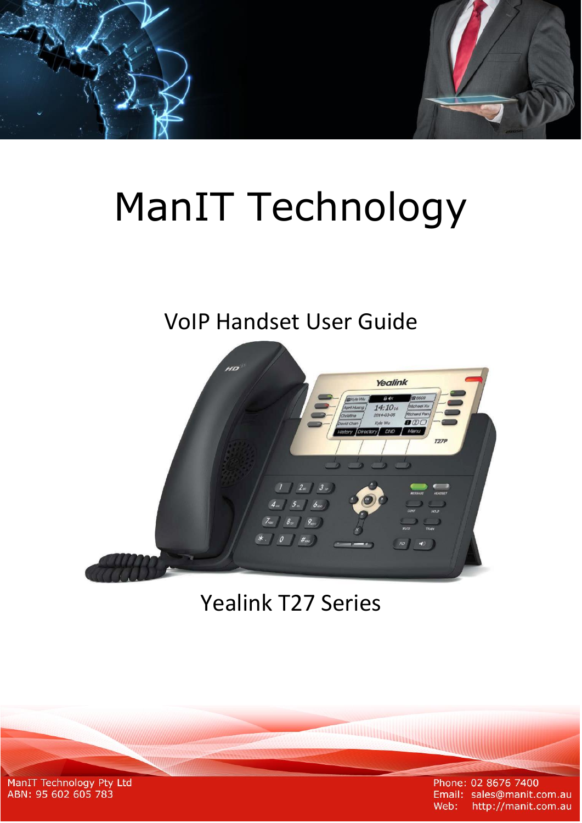# ManIT Technology

# VoIP Handset User Guide



# Yealink T27 Series

**ANTIQUES DE L'ANTIQUES DE L'ANTIQUES DE L'ANTIQUES DE L'ANTIQUES DE L'ANTIQUES DE L'ANTIQUES DE L'ANTIQUES DE** 

ManIT Technology Pty Ltd<br>ABN: 95 602 605 783

Phone: 02 8676 7400 Email: sales@manit.com.au Web: http://manit.com.au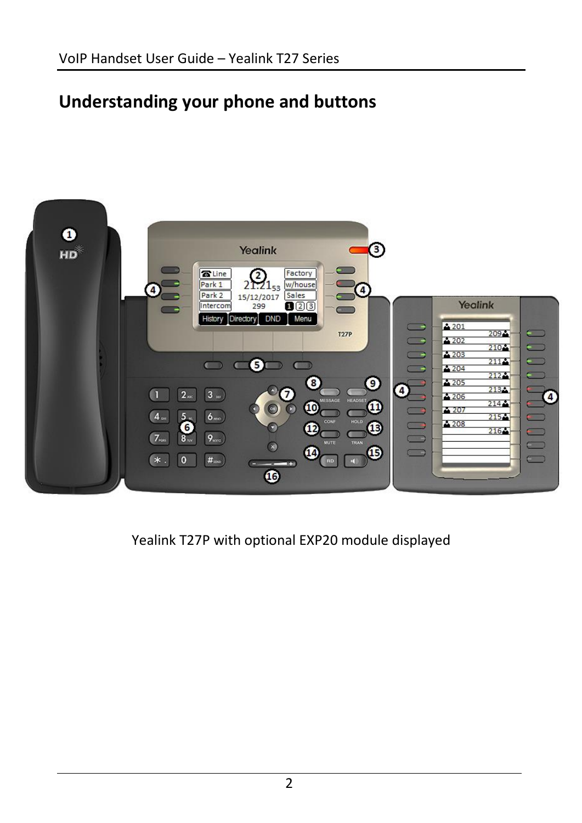# **Understanding your phone and buttons**



Yealink T27P with optional EXP20 module displayed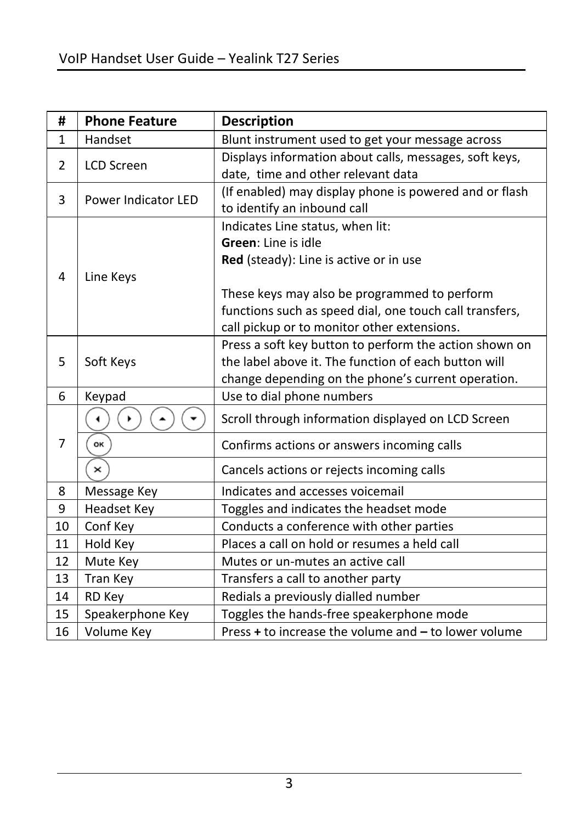| #  | <b>Phone Feature</b> | <b>Description</b>                                      |
|----|----------------------|---------------------------------------------------------|
| 1  | Handset              | Blunt instrument used to get your message across        |
| 2  | <b>LCD Screen</b>    | Displays information about calls, messages, soft keys,  |
|    |                      | date, time and other relevant data                      |
| 3  | Power Indicator LED  | (If enabled) may display phone is powered and or flash  |
|    |                      | to identify an inbound call                             |
|    |                      | Indicates Line status, when lit:                        |
|    |                      | Green: Line is idle                                     |
|    |                      | Red (steady): Line is active or in use                  |
| 4  | Line Keys            |                                                         |
|    |                      | These keys may also be programmed to perform            |
|    |                      | functions such as speed dial, one touch call transfers, |
|    |                      | call pickup or to monitor other extensions.             |
|    |                      | Press a soft key button to perform the action shown on  |
| 5  | Soft Keys            | the label above it. The function of each button will    |
|    |                      | change depending on the phone's current operation.      |
| 6  | Keypad               | Use to dial phone numbers                               |
|    |                      | Scroll through information displayed on LCD Screen      |
| 7  | OK                   | Confirms actions or answers incoming calls              |
|    | ×                    | Cancels actions or rejects incoming calls               |
| 8  | Message Key          | Indicates and accesses voicemail                        |
| 9  | <b>Headset Key</b>   | Toggles and indicates the headset mode                  |
| 10 | Conf Key             | Conducts a conference with other parties                |
| 11 | Hold Key             | Places a call on hold or resumes a held call            |
| 12 | Mute Key             | Mutes or un-mutes an active call                        |
| 13 | Tran Key             | Transfers a call to another party                       |
| 14 | RD Key               | Redials a previously dialled number                     |
| 15 | Speakerphone Key     | Toggles the hands-free speakerphone mode                |
| 16 | Volume Key           | Press + to increase the volume and - to lower volume    |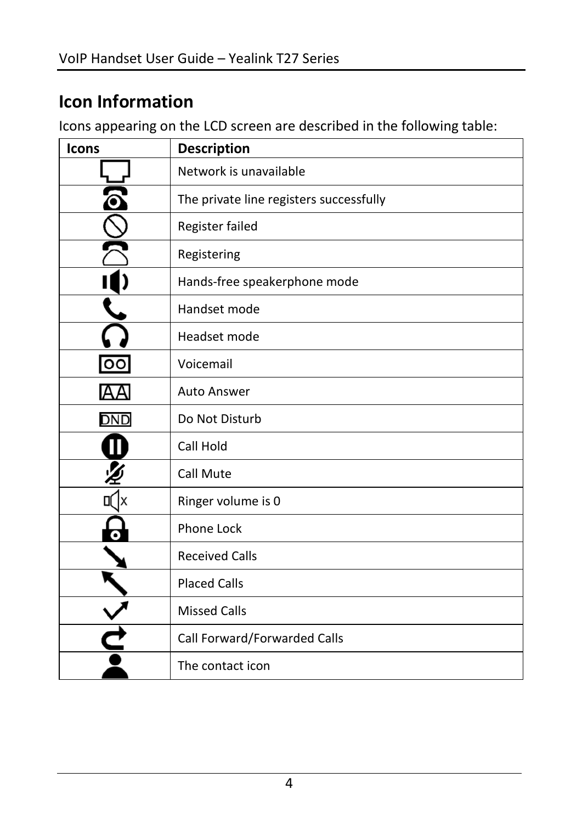## **Icon Information**

Icons appearing on the LCD screen are described in the following table:

| Icons | <b>Description</b>                      |
|-------|-----------------------------------------|
|       | Network is unavailable                  |
|       | The private line registers successfully |
|       | Register failed                         |
|       | Registering                             |
|       | Hands-free speakerphone mode            |
|       | Handset mode                            |
|       | Headset mode                            |
| oo    | Voicemail                               |
|       | <b>Auto Answer</b>                      |
| DND   | Do Not Disturb                          |
|       | Call Hold                               |
|       | Call Mute                               |
|       | Ringer volume is 0                      |
|       | <b>Phone Lock</b>                       |
|       | <b>Received Calls</b>                   |
|       | <b>Placed Calls</b>                     |
|       | <b>Missed Calls</b>                     |
|       | Call Forward/Forwarded Calls            |
|       | The contact icon                        |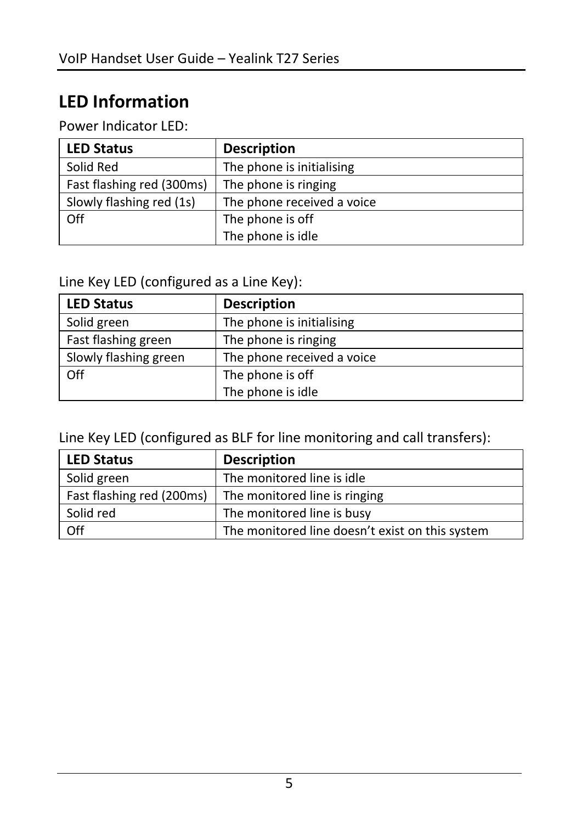# **LED Information**

Power Indicator LED:

| <b>LED Status</b>         | <b>Description</b>         |
|---------------------------|----------------------------|
| Solid Red                 | The phone is initialising  |
| Fast flashing red (300ms) | The phone is ringing       |
| Slowly flashing red (1s)  | The phone received a voice |
| Off                       | The phone is off           |
|                           | The phone is idle          |

Line Key LED (configured as a Line Key):

| <b>LED Status</b>     | <b>Description</b>         |
|-----------------------|----------------------------|
| Solid green           | The phone is initialising  |
| Fast flashing green   | The phone is ringing       |
| Slowly flashing green | The phone received a voice |
| Off                   | The phone is off           |
|                       | The phone is idle          |

Line Key LED (configured as BLF for line monitoring and call transfers):

| <b>LED Status</b>         | <b>Description</b>                              |
|---------------------------|-------------------------------------------------|
| Solid green               | The monitored line is idle                      |
| Fast flashing red (200ms) | The monitored line is ringing                   |
| Solid red                 | The monitored line is busy                      |
| Off                       | The monitored line doesn't exist on this system |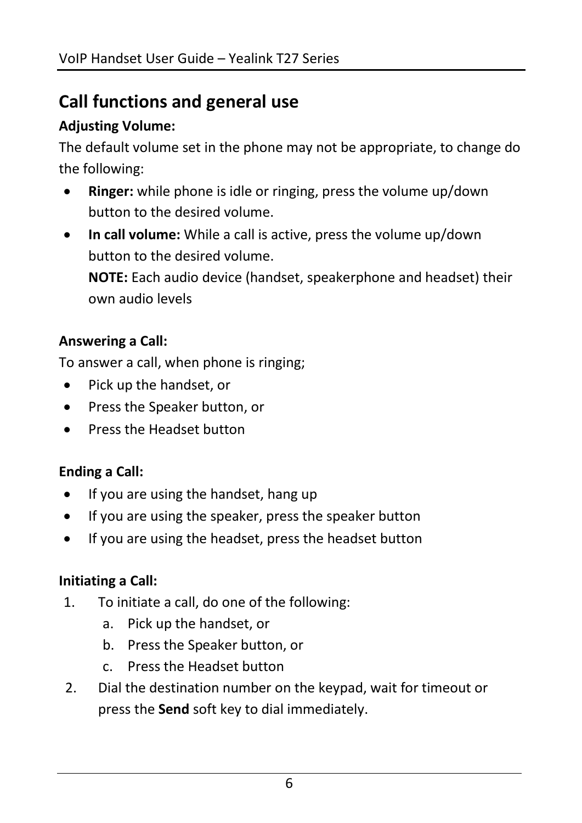# **Call functions and general use**

#### **Adjusting Volume:**

The default volume set in the phone may not be appropriate, to change do the following:

- **Ringer:** while phone is idle or ringing, press the volume up/down button to the desired volume.
- **In call volume:** While a call is active, press the volume up/down button to the desired volume. **NOTE:** Each audio device (handset, speakerphone and headset) their own audio levels

#### **Answering a Call:**

To answer a call, when phone is ringing;

- Pick up the handset, or
- Press the Speaker button, or
- Press the Headset button

#### **Ending a Call:**

- If you are using the handset, hang up
- If you are using the speaker, press the speaker button
- If you are using the headset, press the headset button

#### **Initiating a Call:**

- 1. To initiate a call, do one of the following:
	- a. Pick up the handset, or
	- b. Press the Speaker button, or
	- c. Press the Headset button
- 2. Dial the destination number on the keypad, wait for timeout or press the **Send** soft key to dial immediately.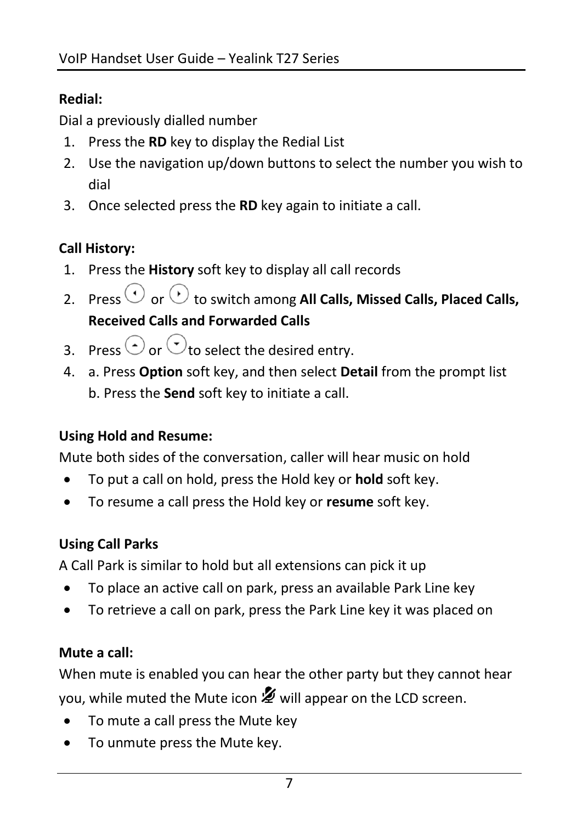#### **Redial:**

Dial a previously dialled number

- 1. Press the **RD** key to display the Redial List
- 2. Use the navigation up/down buttons to select the number you wish to dial
- 3. Once selected press the **RD** key again to initiate a call.

### **Call History:**

- 1. Press the **History** soft key to display all call records
- 2. Press  $\bigcirc$  or  $\bigcirc$  to switch among All Calls, Missed Calls, Placed Calls, **Received Calls and Forwarded Calls**
- 3. Press  $\odot$  or  $\odot$  to select the desired entry.
- 4. a. Press **Option** soft key, and then select **Detail** from the prompt list b. Press the **Send** soft key to initiate a call.

#### **Using Hold and Resume:**

Mute both sides of the conversation, caller will hear music on hold

- To put a call on hold, press the Hold key or **hold** soft key.
- To resume a call press the Hold key or **resume** soft key.

#### **Using Call Parks**

A Call Park is similar to hold but all extensions can pick it up

- To place an active call on park, press an available Park Line key
- To retrieve a call on park, press the Park Line key it was placed on

#### **Mute a call:**

When mute is enabled you can hear the other party but they cannot hear you, while muted the Mute icon  $\mathcal Z$  will appear on the LCD screen.

- To mute a call press the Mute key
- To unmute press the Mute key.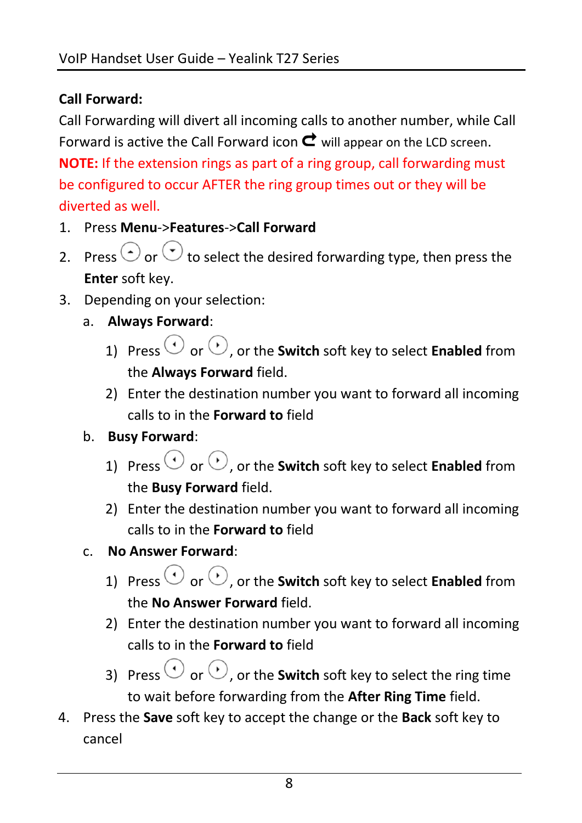#### **Call Forward:**

Call Forwarding will divert all incoming calls to another number, while Call Forward is active the Call Forward icon  $\mathbf c$  will appear on the LCD screen. **NOTE:** If the extension rings as part of a ring group, call forwarding must be configured to occur AFTER the ring group times out or they will be diverted as well.

- 1. Press **Menu**->**Features**->**Call Forward**
- 2. Press  $\odot$  or  $\odot$  to select the desired forwarding type, then press the **Enter** soft key.
- 3. Depending on your selection:
	- a. **Always Forward**:
		- 1) Press  $\odot$  or  $\odot$ , or the **Switch** soft key to select **Enabled** from the **Always Forward** field.
		- 2) Enter the destination number you want to forward all incoming calls to in the **Forward to** field

#### b. **Busy Forward**:

- 1) Press  $\bigcirc$  or  $\bigcirc$  or the **Switch** soft key to select **Enabled** from the **Busy Forward** field.
- 2) Enter the destination number you want to forward all incoming calls to in the **Forward to** field
- c. **No Answer Forward**:
	- 1) Press  $\odot$  or  $\odot$  or the **Switch** soft key to select **Enabled** from the **No Answer Forward** field.
	- 2) Enter the destination number you want to forward all incoming calls to in the **Forward to** field
	- 3) Press  $\odot$  or  $\odot$ , or the **Switch** soft key to select the ring time to wait before forwarding from the **After Ring Time** field.
- 4. Press the **Save** soft key to accept the change or the **Back** soft key to cancel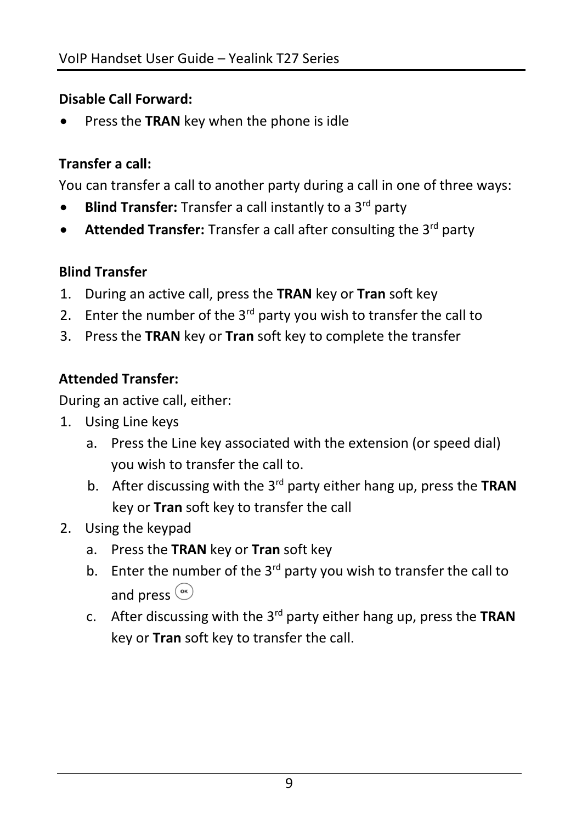#### **Disable Call Forward:**

Press the **TRAN** key when the phone is idle

#### **Transfer a call:**

You can transfer a call to another party during a call in one of three ways:

- **Blind Transfer:** Transfer a call instantly to a 3<sup>rd</sup> party
- **Attended Transfer:** Transfer a call after consulting the 3<sup>rd</sup> party

#### **Blind Transfer**

- 1. During an active call, press the **TRAN** key or **Tran** soft key
- 2. Enter the number of the  $3^{rd}$  party you wish to transfer the call to
- 3. Press the **TRAN** key or **Tran** soft key to complete the transfer

#### **Attended Transfer:**

During an active call, either:

- 1. Using Line keys
	- a. Press the Line key associated with the extension (or speed dial) you wish to transfer the call to.
	- b. After discussing with the 3rd party either hang up, press the **TRAN** key or **Tran** soft key to transfer the call
- 2. Using the keypad
	- a. Press the **TRAN** key or **Tran** soft key
	- b. Enter the number of the  $3^{rd}$  party you wish to transfer the call to and press  $\circ$
	- c. After discussing with the 3rd party either hang up, press the **TRAN** key or **Tran** soft key to transfer the call.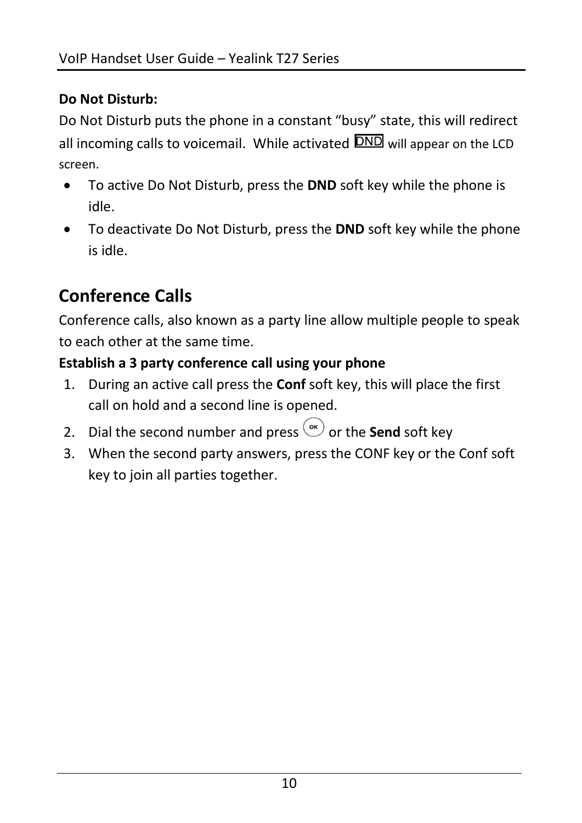#### **Do Not Disturb:**

Do Not Disturb puts the phone in a constant "busy" state, this will redirect all incoming calls to voicemail. While activated **DND** will appear on the LCD screen.

- To active Do Not Disturb, press the **DND** soft key while the phone is idle.
- To deactivate Do Not Disturb, press the **DND** soft key while the phone is idle.

# **Conference Calls**

Conference calls, also known as a party line allow multiple people to speak to each other at the same time.

#### **Establish a 3 party conference call using your phone**

- 1. During an active call press the **Conf** soft key, this will place the first call on hold and a second line is opened.
- 2. Dial the second number and press  $\overset{\text{(or)}}{=}$  or the **Send** soft key
- 3. When the second party answers, press the CONF key or the Conf soft key to join all parties together.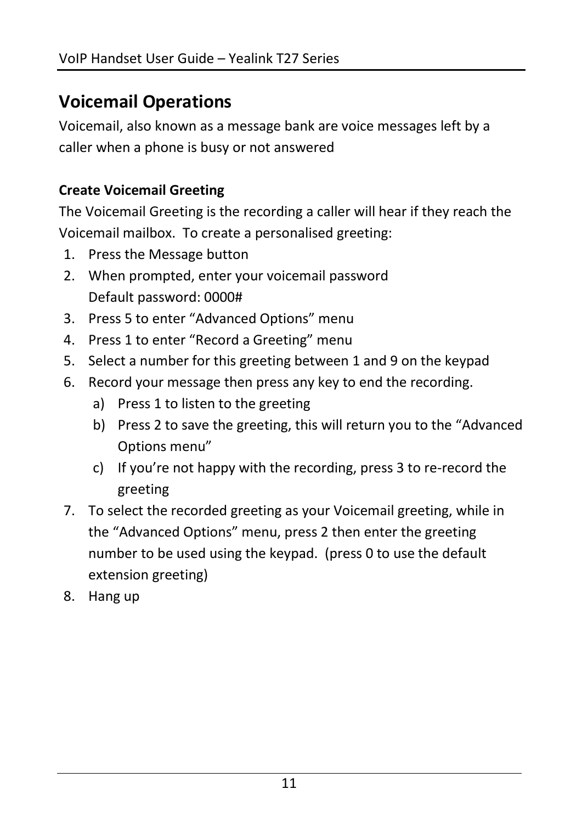# **Voicemail Operations**

Voicemail, also known as a message bank are voice messages left by a caller when a phone is busy or not answered

#### **Create Voicemail Greeting**

The Voicemail Greeting is the recording a caller will hear if they reach the Voicemail mailbox. To create a personalised greeting:

- 1. Press the Message button
- 2. When prompted, enter your voicemail password Default password: 0000#
- 3. Press 5 to enter "Advanced Options" menu
- 4. Press 1 to enter "Record a Greeting" menu
- 5. Select a number for this greeting between 1 and 9 on the keypad
- 6. Record your message then press any key to end the recording.
	- a) Press 1 to listen to the greeting
	- b) Press 2 to save the greeting, this will return you to the "Advanced Options menu"
	- c) If you're not happy with the recording, press 3 to re-record the greeting
- 7. To select the recorded greeting as your Voicemail greeting, while in the "Advanced Options" menu, press 2 then enter the greeting number to be used using the keypad. (press 0 to use the default extension greeting)
- 8. Hang up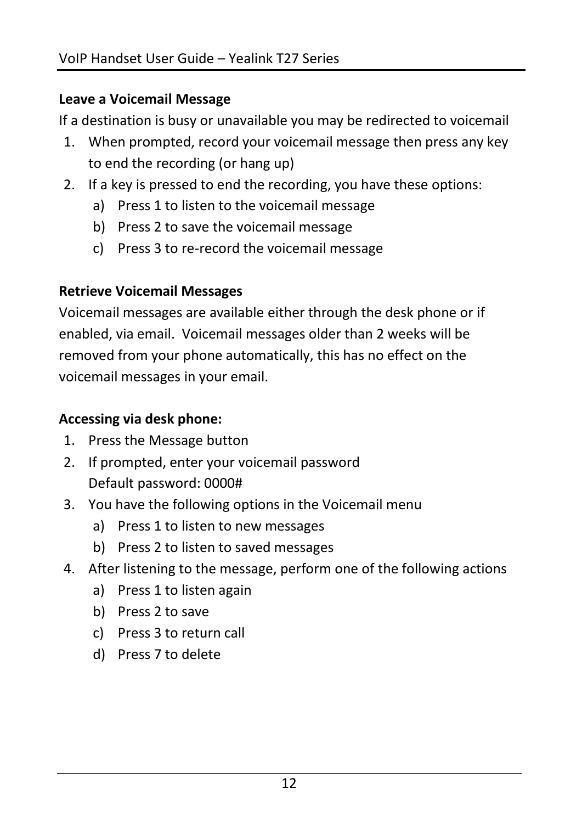#### **Leave a Voicemail Message**

If a destination is busy or unavailable you may be redirected to voicemail

- 1. When prompted, record your voicemail message then press any key to end the recording (or hang up)
- 2. If a key is pressed to end the recording, you have these options:
	- a) Press 1 to listen to the voicemail message
	- b) Press 2 to save the voicemail message
	- c) Press 3 to re-record the voicemail message

#### **Retrieve Voicemail Messages**

Voicemail messages are available either through the desk phone or if enabled, via email. Voicemail messages older than 2 weeks will be removed from your phone automatically, this has no effect on the voicemail messages in your email.

#### **Accessing via desk phone:**

- 1. Press the Message button
- 2. If prompted, enter your voicemail password Default password: 0000#
- 3. You have the following options in the Voicemail menu
	- a) Press 1 to listen to new messages
	- b) Press 2 to listen to saved messages
- 4. After listening to the message, perform one of the following actions
	- a) Press 1 to listen again
	- b) Press 2 to save
	- c) Press 3 to return call
	- d) Press 7 to delete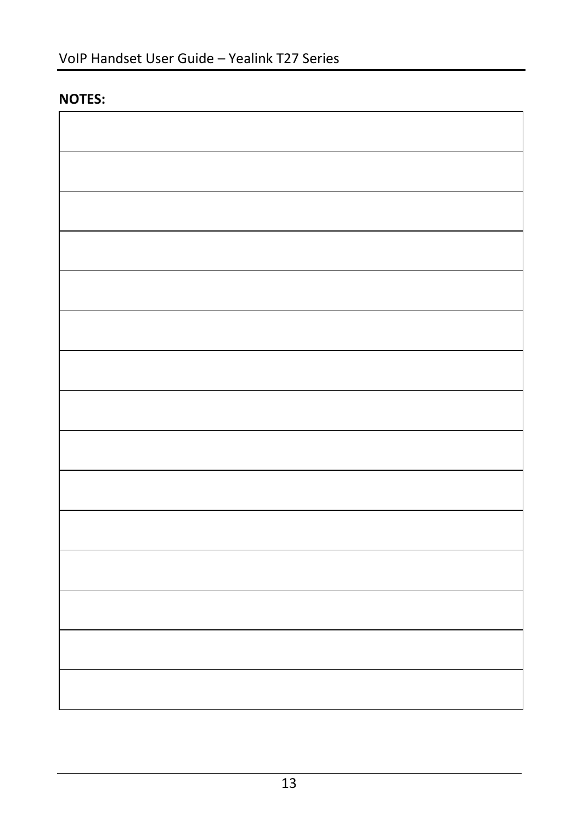#### **NOTES:**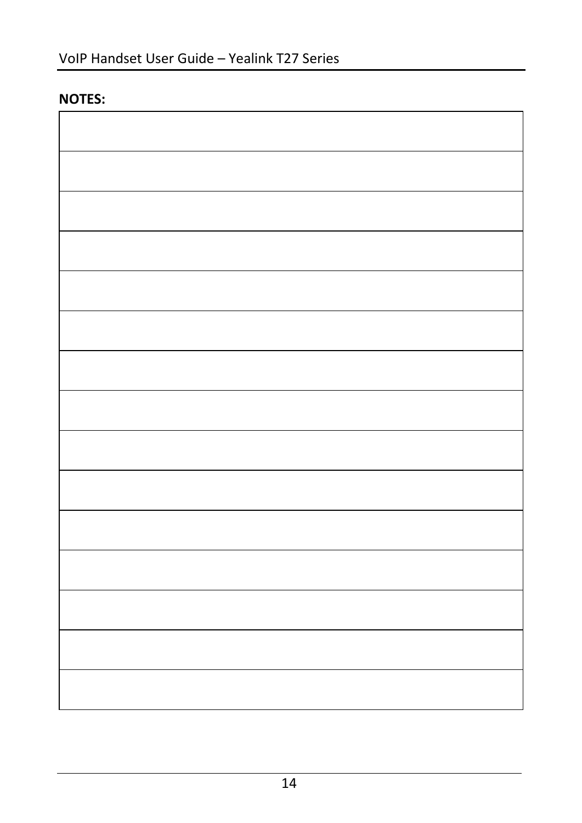#### **NOTES:**